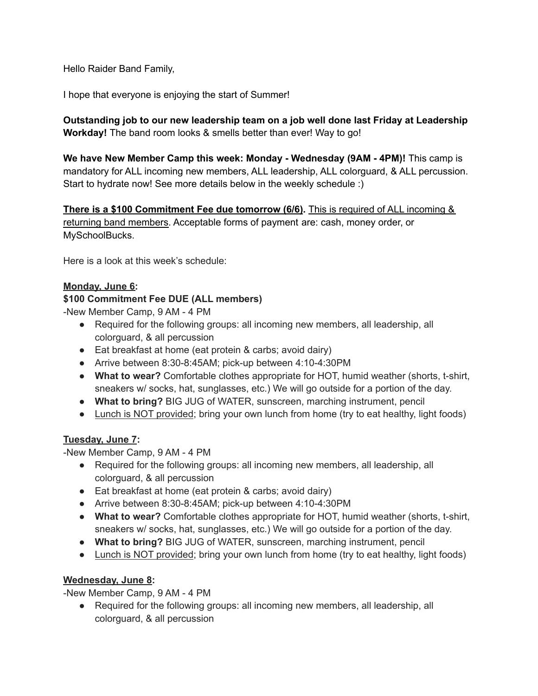Hello Raider Band Family,

I hope that everyone is enjoying the start of Summer!

# **Outstanding job to our new leadership team on a job well done last Friday at Leadership Workday!** The band room looks & smells better than ever! Way to go!

**We have New Member Camp this week: Monday - Wednesday (9AM - 4PM)!** This camp is mandatory for ALL incoming new members, ALL leadership, ALL colorguard, & ALL percussion. Start to hydrate now! See more details below in the weekly schedule :)

**There is a \$100 Commitment Fee due tomorrow (6/6).** This is required of ALL incoming & returning band members. Acceptable forms of payment are: cash, money order, or MySchoolBucks.

Here is a look at this week's schedule:

#### **Monday, June 6:**

#### **\$100 Commitment Fee DUE (ALL members)**

-New Member Camp, 9 AM - 4 PM

- Required for the following groups: all incoming new members, all leadership, all colorguard, & all percussion
- Eat breakfast at home (eat protein & carbs; avoid dairy)
- Arrive between 8:30-8:45AM; pick-up between 4:10-4:30PM
- **What to wear?** Comfortable clothes appropriate for HOT, humid weather (shorts, t-shirt, sneakers w/ socks, hat, sunglasses, etc.) We will go outside for a portion of the day.
- **What to bring?** BIG JUG of WATER, sunscreen, marching instrument, pencil
- Lunch is NOT provided; bring your own lunch from home (try to eat healthy, light foods)

#### **Tuesday, June 7:**

-New Member Camp, 9 AM - 4 PM

- Required for the following groups: all incoming new members, all leadership, all colorguard, & all percussion
- Eat breakfast at home (eat protein & carbs; avoid dairy)
- Arrive between 8:30-8:45AM; pick-up between 4:10-4:30PM
- **What to wear?** Comfortable clothes appropriate for HOT, humid weather (shorts, t-shirt, sneakers w/ socks, hat, sunglasses, etc.) We will go outside for a portion of the day.
- **What to bring?** BIG JUG of WATER, sunscreen, marching instrument, pencil
- Lunch is NOT provided; bring your own lunch from home (try to eat healthy, light foods)

## **Wednesday, June 8:**

-New Member Camp, 9 AM - 4 PM

● Required for the following groups: all incoming new members, all leadership, all colorguard, & all percussion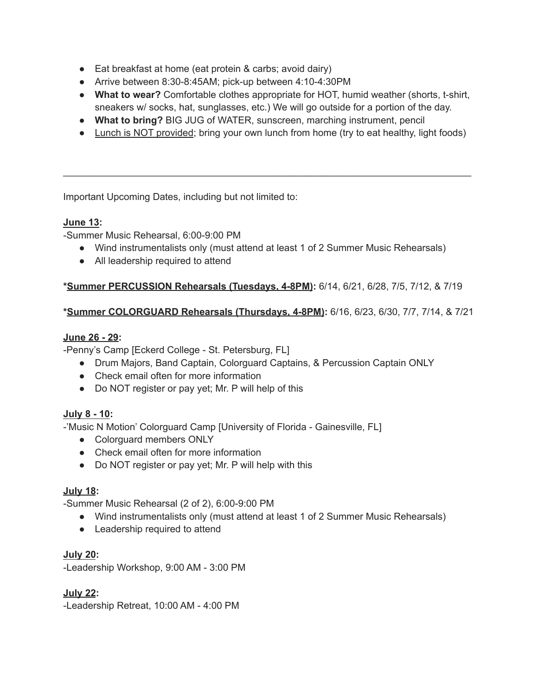- Eat breakfast at home (eat protein & carbs; avoid dairy)
- Arrive between 8:30-8:45AM; pick-up between 4:10-4:30PM
- **What to wear?** Comfortable clothes appropriate for HOT, humid weather (shorts, t-shirt, sneakers w/ socks, hat, sunglasses, etc.) We will go outside for a portion of the day.
- **What to bring?** BIG JUG of WATER, sunscreen, marching instrument, pencil
- Lunch is NOT provided; bring your own lunch from home (try to eat healthy, light foods)

\_\_\_\_\_\_\_\_\_\_\_\_\_\_\_\_\_\_\_\_\_\_\_\_\_\_\_\_\_\_\_\_\_\_\_\_\_\_\_\_\_\_\_\_\_\_\_\_\_\_\_\_\_\_\_\_\_\_\_\_\_\_\_\_\_\_\_\_\_\_\_\_\_\_\_\_

Important Upcoming Dates, including but not limited to:

### **June 13:**

-Summer Music Rehearsal, 6:00-9:00 PM

- Wind instrumentalists only (must attend at least 1 of 2 Summer Music Rehearsals)
- All leadership required to attend

## **\*Summer PERCUSSION Rehearsals (Tuesdays, 4-8PM):** 6/14, 6/21, 6/28, 7/5, 7/12, & 7/19

### **\*Summer COLORGUARD Rehearsals (Thursdays, 4-8PM):** 6/16, 6/23, 6/30, 7/7, 7/14, & 7/21

#### **June 26 - 29:**

-Penny's Camp [Eckerd College - St. Petersburg, FL]

- Drum Majors, Band Captain, Colorguard Captains, & Percussion Captain ONLY
- Check email often for more information
- Do NOT register or pay yet; Mr. P will help of this

## **July 8 - 10:**

-'Music N Motion' Colorguard Camp [University of Florida - Gainesville, FL]

- Colorguard members ONLY
- Check email often for more information
- Do NOT register or pay yet; Mr. P will help with this

## **July 18:**

-Summer Music Rehearsal (2 of 2), 6:00-9:00 PM

- Wind instrumentalists only (must attend at least 1 of 2 Summer Music Rehearsals)
- Leadership required to attend

#### **July 20:**

-Leadership Workshop, 9:00 AM - 3:00 PM

## **July 22:**

-Leadership Retreat, 10:00 AM - 4:00 PM